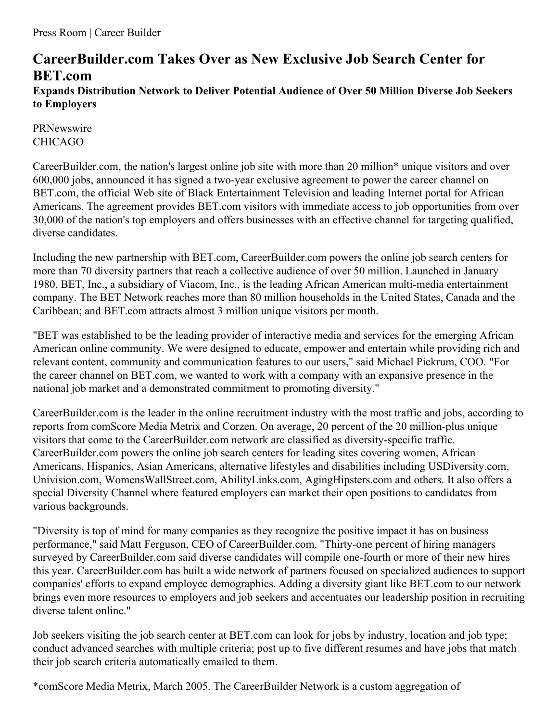## **CareerBuilder.com Takes Over as New Exclusive Job Search Center for BET.com Expands Distribution Network to Deliver Potential Audience of Over 50 Million Diverse Job Seekers to Employers**

PRNewswire CHICAGO

CareerBuilder.com, the nation's largest online job site with more than 20 million\* unique visitors and over 600,000 jobs, announced it has signed a two-year exclusive agreement to power the career channel on BET.com, the official Web site of Black Entertainment Television and leading Internet portal for African Americans. The agreement provides BET.com visitors with immediate access to job opportunities from over 30,000 of the nation's top employers and offers businesses with an effective channel for targeting qualified, diverse candidates.

Including the new partnership with BET.com, CareerBuilder.com powers the online job search centers for more than 70 diversity partners that reach a collective audience of over 50 million. Launched in January 1980, BET, Inc., a subsidiary of Viacom, Inc., is the leading African American multi-media entertainment company. The BET Network reaches more than 80 million households in the United States, Canada and the Caribbean; and BET.com attracts almost 3 million unique visitors per month.

"BET was established to be the leading provider of interactive media and services for the emerging African American online community. We were designed to educate, empower and entertain while providing rich and relevant content, community and communication features to our users," said Michael Pickrum, COO. "For the career channel on BET.com, we wanted to work with a company with an expansive presence in the national job market and a demonstrated commitment to promoting diversity."

CareerBuilder.com is the leader in the online recruitment industry with the most traffic and jobs, according to reports from comScore Media Metrix and Corzen. On average, 20 percent of the 20 million-plus unique visitors that come to the CareerBuilder.com network are classified as diversity-specific traffic. CareerBuilder.com powers the online job search centers for leading sites covering women, African Americans, Hispanics, Asian Americans, alternative lifestyles and disabilities including USDiversity.com, Univision.com, WomensWallStreet.com, AbilityLinks.com, AgingHipsters.com and others. It also offers a special Diversity Channel where featured employers can market their open positions to candidates from various backgrounds.

"Diversity is top of mind for many companies as they recognize the positive impact it has on business performance," said Matt Ferguson, CEO of CareerBuilder.com. "Thirty-one percent of hiring managers surveyed by CareerBuilder.com said diverse candidates will compile one-fourth or more of their new hires this year. CareerBuilder.com has built a wide network of partners focused on specialized audiences to support companies' efforts to expand employee demographics. Adding a diversity giant like BET.com to our network brings even more resources to employers and job seekers and accentuates our leadership position in recruiting diverse talent online."

Job seekers visiting the job search center at BET.com can look for jobs by industry, location and job type; conduct advanced searches with multiple criteria; post up to five different resumes and have jobs that match their job search criteria automatically emailed to them.

\*comScore Media Metrix, March 2005. The CareerBuilder Network is a custom aggregation of